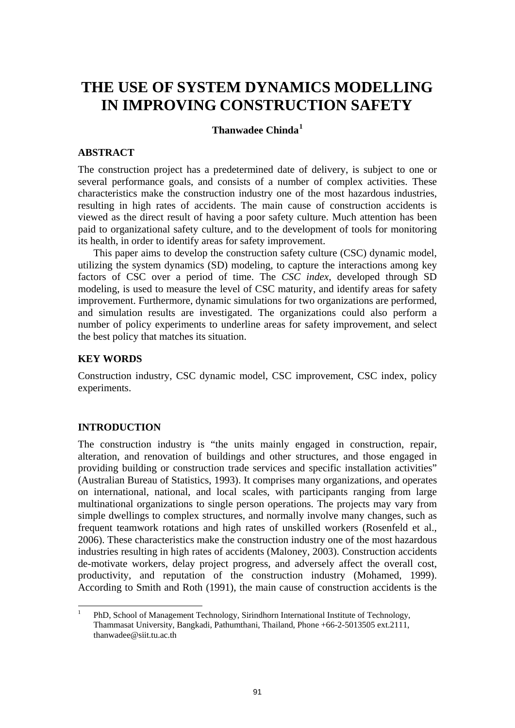# **THE USE OF SYSTEM DYNAMICS MODELLING IN IMPROVING CONSTRUCTION SAFETY**

# **Thanwadee Chinda[1](#page-0-0)**

# **ABSTRACT**

The construction project has a predetermined date of delivery, is subject to one or several performance goals, and consists of a number of complex activities. These characteristics make the construction industry one of the most hazardous industries, resulting in high rates of accidents. The main cause of construction accidents is viewed as the direct result of having a poor safety culture. Much attention has been paid to organizational safety culture, and to the development of tools for monitoring its health, in order to identify areas for safety improvement.

This paper aims to develop the construction safety culture (CSC) dynamic model, utilizing the system dynamics (SD) modeling, to capture the interactions among key factors of CSC over a period of time. The *CSC index*, developed through SD modeling, is used to measure the level of CSC maturity, and identify areas for safety improvement. Furthermore, dynamic simulations for two organizations are performed, and simulation results are investigated. The organizations could also perform a number of policy experiments to underline areas for safety improvement, and select the best policy that matches its situation.

# **KEY WORDS**

Construction industry, CSC dynamic model, CSC improvement, CSC index, policy experiments.

# **INTRODUCTION**

The construction industry is "the units mainly engaged in construction, repair, alteration, and renovation of buildings and other structures, and those engaged in providing building or construction trade services and specific installation activities" (Australian Bureau of Statistics, 1993). It comprises many organizations, and operates on international, national, and local scales, with participants ranging from large multinational organizations to single person operations. The projects may vary from simple dwellings to complex structures, and normally involve many changes, such as frequent teamwork rotations and high rates of unskilled workers (Rosenfeld et al., 2006). These characteristics make the construction industry one of the most hazardous industries resulting in high rates of accidents (Maloney, 2003). Construction accidents de-motivate workers, delay project progress, and adversely affect the overall cost, productivity, and reputation of the construction industry (Mohamed, 1999). According to Smith and Roth (1991), the main cause of construction accidents is the

<span id="page-0-0"></span> $\frac{1}{1}$  PhD, School of Management Technology, Sirindhorn International Institute of Technology, Thammasat University, Bangkadi, Pathumthani, Thailand, Phone +66-2-5013505 ext.2111, thanwadee@siit.tu.ac.th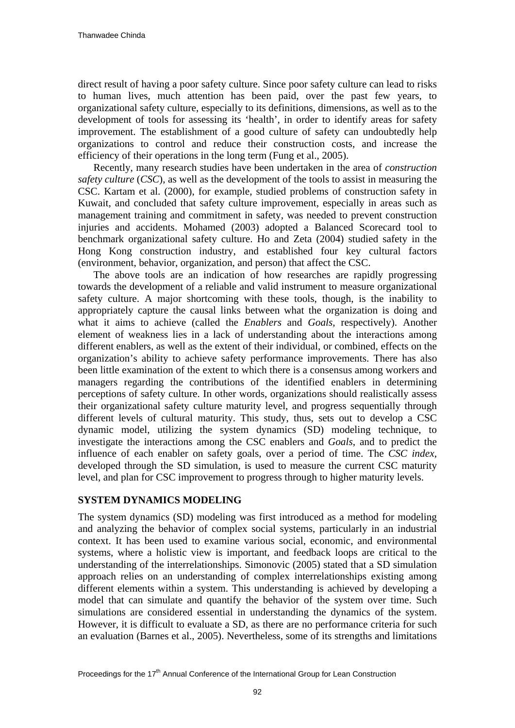direct result of having a poor safety culture. Since poor safety culture can lead to risks to human lives, much attention has been paid, over the past few years, to organizational safety culture, especially to its definitions, dimensions, as well as to the development of tools for assessing its 'health', in order to identify areas for safety improvement. The establishment of a good culture of safety can undoubtedly help organizations to control and reduce their construction costs, and increase the efficiency of their operations in the long term (Fung et al., 2005).

Recently, many research studies have been undertaken in the area of *construction safety culture* (*CSC*), as well as the development of the tools to assist in measuring the CSC. Kartam et al. (2000), for example, studied problems of construction safety in Kuwait, and concluded that safety culture improvement, especially in areas such as management training and commitment in safety, was needed to prevent construction injuries and accidents. Mohamed (2003) adopted a Balanced Scorecard tool to benchmark organizational safety culture. Ho and Zeta (2004) studied safety in the Hong Kong construction industry, and established four key cultural factors (environment, behavior, organization, and person) that affect the CSC.

The above tools are an indication of how researches are rapidly progressing towards the development of a reliable and valid instrument to measure organizational safety culture. A major shortcoming with these tools, though, is the inability to appropriately capture the causal links between what the organization is doing and what it aims to achieve (called the *Enablers* and *Goals*, respectively). Another element of weakness lies in a lack of understanding about the interactions among different enablers, as well as the extent of their individual, or combined, effects on the organization's ability to achieve safety performance improvements. There has also been little examination of the extent to which there is a consensus among workers and managers regarding the contributions of the identified enablers in determining perceptions of safety culture. In other words, organizations should realistically assess their organizational safety culture maturity level, and progress sequentially through different levels of cultural maturity. This study, thus, sets out to develop a CSC dynamic model, utilizing the system dynamics (SD) modeling technique, to investigate the interactions among the CSC enablers and *Goals*, and to predict the influence of each enabler on safety goals, over a period of time. The *CSC index*, developed through the SD simulation, is used to measure the current CSC maturity level, and plan for CSC improvement to progress through to higher maturity levels.

# **SYSTEM DYNAMICS MODELING**

The system dynamics (SD) modeling was first introduced as a method for modeling and analyzing the behavior of complex social systems, particularly in an industrial context. It has been used to examine various social, economic, and environmental systems, where a holistic view is important, and feedback loops are critical to the understanding of the interrelationships. Simonovic (2005) stated that a SD simulation approach relies on an understanding of complex interrelationships existing among different elements within a system. This understanding is achieved by developing a model that can simulate and quantify the behavior of the system over time. Such simulations are considered essential in understanding the dynamics of the system. However, it is difficult to evaluate a SD, as there are no performance criteria for such an evaluation (Barnes et al., 2005). Nevertheless, some of its strengths and limitations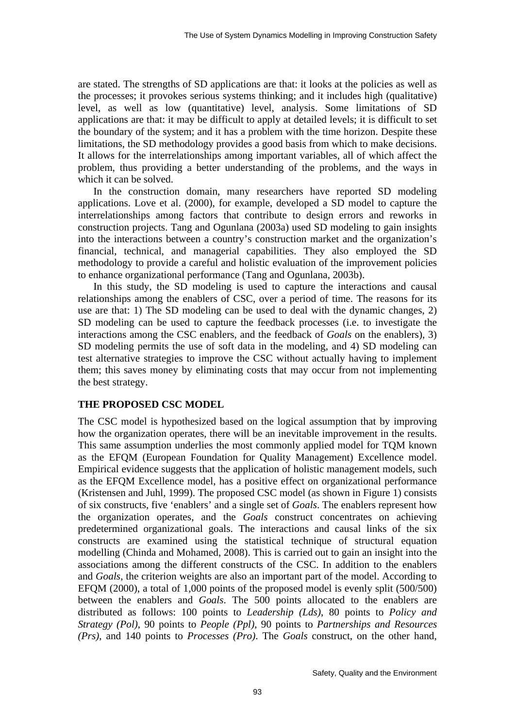are stated. The strengths of SD applications are that: it looks at the policies as well as the processes; it provokes serious systems thinking; and it includes high (qualitative) level, as well as low (quantitative) level, analysis. Some limitations of SD applications are that: it may be difficult to apply at detailed levels; it is difficult to set the boundary of the system; and it has a problem with the time horizon. Despite these limitations, the SD methodology provides a good basis from which to make decisions. It allows for the interrelationships among important variables, all of which affect the problem, thus providing a better understanding of the problems, and the ways in which it can be solved.

In the construction domain, many researchers have reported SD modeling applications. Love et al. (2000), for example, developed a SD model to capture the interrelationships among factors that contribute to design errors and reworks in construction projects. Tang and Ogunlana (2003a) used SD modeling to gain insights into the interactions between a country's construction market and the organization's financial, technical, and managerial capabilities. They also employed the SD methodology to provide a careful and holistic evaluation of the improvement policies to enhance organizational performance (Tang and Ogunlana, 2003b).

In this study, the SD modeling is used to capture the interactions and causal relationships among the enablers of CSC, over a period of time. The reasons for its use are that: 1) The SD modeling can be used to deal with the dynamic changes, 2) SD modeling can be used to capture the feedback processes (i.e. to investigate the interactions among the CSC enablers, and the feedback of *Goals* on the enablers), 3) SD modeling permits the use of soft data in the modeling, and 4) SD modeling can test alternative strategies to improve the CSC without actually having to implement them; this saves money by eliminating costs that may occur from not implementing the best strategy.

#### **THE PROPOSED CSC MODEL**

The CSC model is hypothesized based on the logical assumption that by improving how the organization operates, there will be an inevitable improvement in the results. This same assumption underlies the most commonly applied model for TQM known as the EFQM (European Foundation for Quality Management) Excellence model. Empirical evidence suggests that the application of holistic management models, such as the EFQM Excellence model, has a positive effect on organizational performance (Kristensen and Juhl, 1999). The proposed CSC model (as shown in Figure 1) consists of six constructs, five 'enablers' and a single set of *Goals*. The enablers represent how the organization operates, and the *Goals* construct concentrates on achieving predetermined organizational goals. The interactions and causal links of the six constructs are examined using the statistical technique of structural equation modelling (Chinda and Mohamed, 2008). This is carried out to gain an insight into the associations among the different constructs of the CSC. In addition to the enablers and *Goals*, the criterion weights are also an important part of the model. According to EFQM (2000), a total of 1,000 points of the proposed model is evenly split (500/500) between the enablers and *Goals*. The 500 points allocated to the enablers are distributed as follows: 100 points to *Leadership (Lds)*, 80 points to *Policy and Strategy (Pol)*, 90 points to *People (Ppl)*, 90 points to *Partnerships and Resources (Prs)*, and 140 points to *Processes (Pro)*. The *Goals* construct, on the other hand,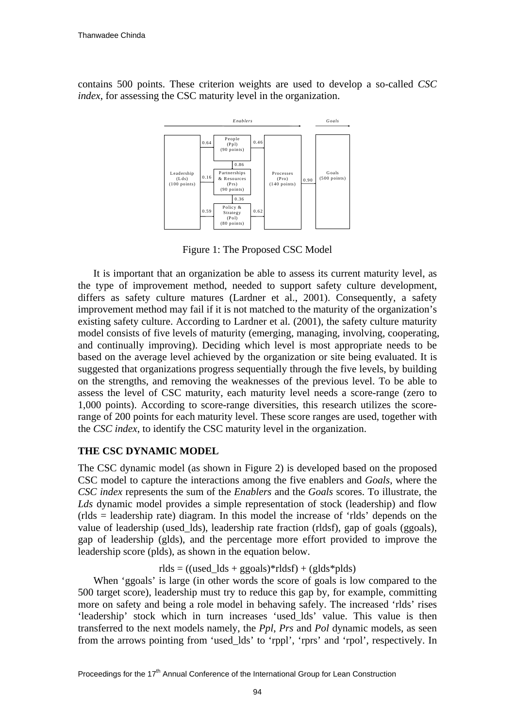contains 500 points. These criterion weights are used to develop a so-called *CSC index*, for assessing the CSC maturity level in the organization.



Figure 1: The Proposed CSC Model

It is important that an organization be able to assess its current maturity level, as the type of improvement method, needed to support safety culture development, differs as safety culture matures (Lardner et al., 2001). Consequently, a safety improvement method may fail if it is not matched to the maturity of the organization's existing safety culture. According to Lardner et al. (2001), the safety culture maturity model consists of five levels of maturity (emerging, managing, involving, cooperating, and continually improving). Deciding which level is most appropriate needs to be based on the average level achieved by the organization or site being evaluated. It is suggested that organizations progress sequentially through the five levels, by building on the strengths, and removing the weaknesses of the previous level. To be able to assess the level of CSC maturity, each maturity level needs a score-range (zero to 1,000 points). According to score-range diversities, this research utilizes the scorerange of 200 points for each maturity level. These score ranges are used, together with the *CSC index*, to identify the CSC maturity level in the organization.

# **THE CSC DYNAMIC MODEL**

The CSC dynamic model (as shown in Figure 2) is developed based on the proposed CSC model to capture the interactions among the five enablers and *Goals*, where the *CSC index* represents the sum of the *Enablers* and the *Goals* scores. To illustrate, the *Lds* dynamic model provides a simple representation of stock (leadership) and flow (rlds = leadership rate) diagram. In this model the increase of 'rlds' depends on the value of leadership (used\_lds), leadership rate fraction (rldsf), gap of goals (ggoals), gap of leadership (glds), and the percentage more effort provided to improve the leadership score (plds), as shown in the equation below.

 $rlds = ((used_lds + gagoals)*rlds) + (glds*blds)$ 

When 'ggoals' is large (in other words the score of goals is low compared to the 500 target score), leadership must try to reduce this gap by, for example, committing more on safety and being a role model in behaving safely. The increased 'rlds' rises 'leadership' stock which in turn increases 'used\_lds' value. This value is then transferred to the next models namely, the *Ppl*, *Prs* and *Pol* dynamic models, as seen from the arrows pointing from 'used\_lds' to 'rppl', 'rprs' and 'rpol', respectively. In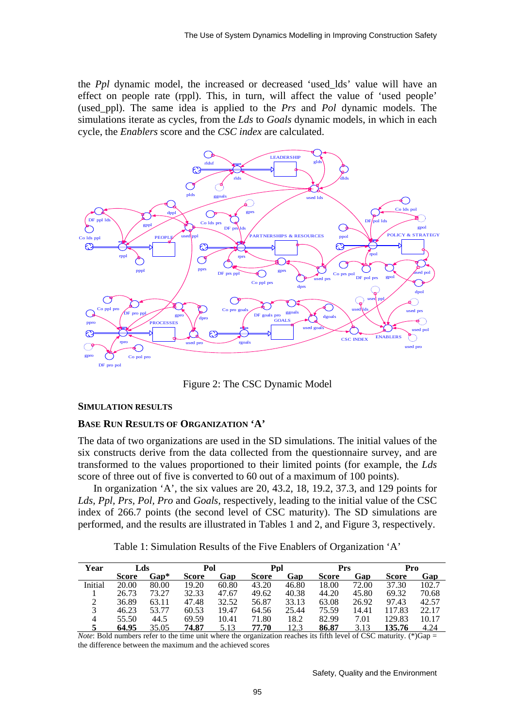the *Ppl* dynamic model, the increased or decreased 'used\_lds' value will have an effect on people rate (rppl). This, in turn, will affect the value of 'used people' (used\_ppl). The same idea is applied to the *Prs* and *Pol* dynamic models. The simulations iterate as cycles, from the *Lds* to *Goals* dynamic models, in which in each cycle, the *Enablers* score and the *CSC index* are calculated.



Figure 2: The CSC Dynamic Model

#### **SIMULATION RESULTS**

#### **BASE RUN RESULTS OF ORGANIZATION 'A'**

The data of two organizations are used in the SD simulations. The initial values of the six constructs derive from the data collected from the questionnaire survey, and are transformed to the values proportioned to their limited points (for example, the *Lds* score of three out of five is converted to 60 out of a maximum of 100 points).

In organization 'A', the six values are 20, 43.2, 18, 19.2, 37.3, and 129 points for *Lds, Ppl, Prs, Pol, Pro* and *Goals*, respectively, leading to the initial value of the CSC index of 266.7 points (the second level of CSC maturity). The SD simulations are performed, and the results are illustrated in Tables 1 and 2, and Figure 3, respectively.

Table 1: Simulation Results of the Five Enablers of Organization 'A'

| Year    | Lds          |       | Pol   |       | Ppl          |       | <b>Prs</b>   |       | Pro    |       |
|---------|--------------|-------|-------|-------|--------------|-------|--------------|-------|--------|-------|
|         | <b>Score</b> | Gap*  | Score | Gap   | <b>Score</b> | Gap   | <b>Score</b> | Gap   | Score  | Gap   |
| Initial | 20.00        | 80.00 | 19.20 | 60.80 | 43.20        | 46.80 | 18.00        | 72.00 | 37.30  | 102.7 |
|         | 26.73        | 73.27 | 32.33 | 47.67 | 49.62        | 40.38 | 44.20        | 45.80 | 69.32  | 70.68 |
|         | 36.89        | 63.11 | 47.48 | 32.52 | 56.87        | 33.13 | 63.08        | 26.92 | 97.43  | 42.57 |
|         | 46.23        | 53.77 | 60.53 | 19.47 | 64.56        | 25.44 | 75.59        | 14.41 | 117.83 | 22.17 |
| 4       | 55.50        | 44.5  | 69.59 | 10.41 | 71.80        | 18.2  | 82.99        | 7.01  | 129.83 | 10.17 |
|         | 64.95        | 35.05 | 74.87 | 5.13  | 77.70        | 12.3  | 86.87        | 3.13  | 135.76 | 4.24  |

*Note*: Bold numbers refer to the time unit where the organization reaches its fifth level of CSC maturity. (\*)Gap = the difference between the maximum and the achieved scores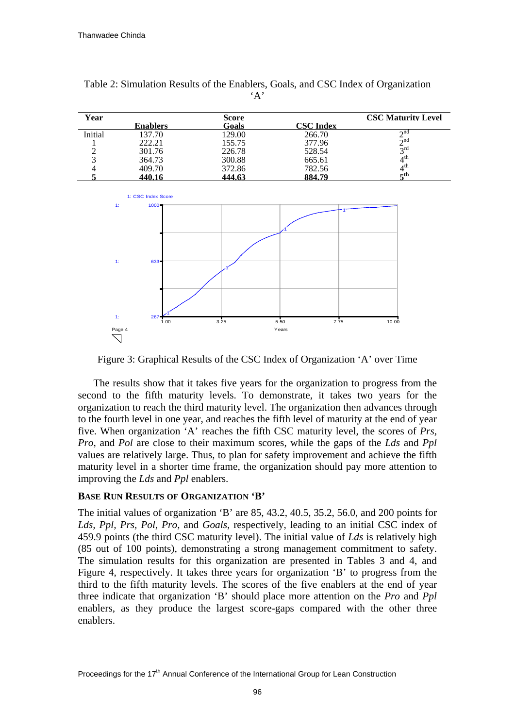| Year    | <b>Enablers</b> | <b>Score</b><br>Goals | <b>CSC</b> Index | <b>CSC Maturity Level</b> |
|---------|-----------------|-----------------------|------------------|---------------------------|
| Initial | 137.70          | 129.00                | 266.70           | $\sim$ nd                 |
|         | 222.21          | 155.75                | 377.96           | $\sim$ nd                 |
|         | 301.76          | 226.78                | 528.54           | 2 <sup>rd</sup>           |
|         | 364.73          | 300.88                | 665.61           | $4^{\text{th}}$           |
|         | 409.70          | 372.86                | 782.56           | 1 <sup>th</sup>           |
|         | 440.16          | 444.63                | 884.79           | rth.                      |

Table 2: Simulation Results of the Enablers, Goals, and CSC Index of Organization  $\Delta'$ 



Figure 3: Graphical Results of the CSC Index of Organization 'A' over Time

The results show that it takes five years for the organization to progress from the second to the fifth maturity levels. To demonstrate, it takes two years for the organization to reach the third maturity level. The organization then advances through to the fourth level in one year, and reaches the fifth level of maturity at the end of year five. When organization 'A' reaches the fifth CSC maturity level, the scores of *Prs*, *Pro*, and *Pol* are close to their maximum scores, while the gaps of the *Lds* and *Ppl*  values are relatively large. Thus, to plan for safety improvement and achieve the fifth maturity level in a shorter time frame, the organization should pay more attention to improving the *Lds* and *Ppl* enablers.

# **BASE RUN RESULTS OF ORGANIZATION 'B'**

The initial values of organization 'B' are 85, 43.2, 40.5, 35.2, 56.0, and 200 points for *Lds, Ppl, Prs, Pol, Pro,* and *Goals*, respectively, leading to an initial CSC index of 459.9 points (the third CSC maturity level). The initial value of *Lds* is relatively high (85 out of 100 points), demonstrating a strong management commitment to safety. The simulation results for this organization are presented in Tables 3 and 4, and Figure 4, respectively. It takes three years for organization 'B' to progress from the third to the fifth maturity levels. The scores of the five enablers at the end of year three indicate that organization 'B' should place more attention on the *Pro* and *Ppl*  enablers, as they produce the largest score-gaps compared with the other three enablers.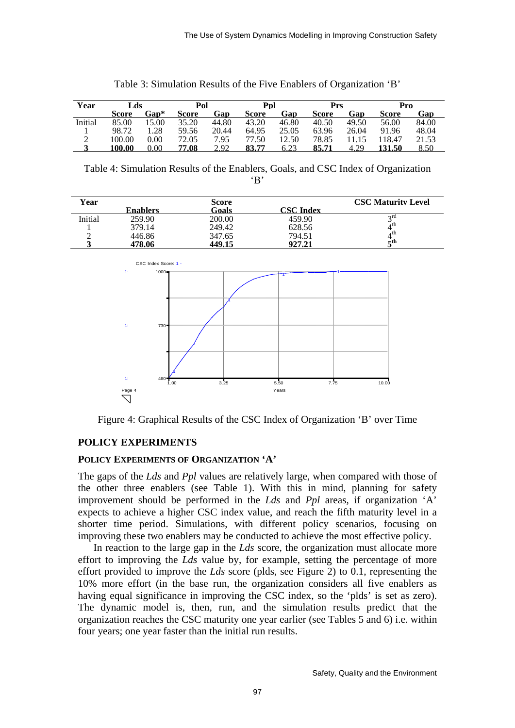| Year    | Lds    |          | Pol   |       | Ppl   |       | Prs          |       | Pro    |       |
|---------|--------|----------|-------|-------|-------|-------|--------------|-------|--------|-------|
|         | Score  | Gap*     | Score | Gap   | Score | Gap   | <b>Score</b> | Gap   | Score  | Gap   |
| Initial | 85.00  | 15.00    | 35.20 | 44.80 | 43.20 | 46.80 | 40.50        | 49.50 | 56.00  | 84.00 |
|         | 98.72  | .28      | 59.56 | 20.44 | 64.95 | 25.05 | 63.96        | 26.04 | 91.96  | 48.04 |
| ◠       | 100.00 | $0.00\,$ | 72.05 | 7.95  | 77.50 | 12.50 | 78.85        | 1.15  | 118.47 | 21.53 |
|         | 100.00 | 0.00     | 77.08 | 2.92  | 83.77 | 6.23  | 85.71        | 4.29  | 131.50 | 8.50  |

Table 3: Simulation Results of the Five Enablers of Organization 'B'

Table 4: Simulation Results of the Enablers, Goals, and CSC Index of Organization 'B'

| Year    |                 | Score        |           | <b>CSC Maturity Level</b> |
|---------|-----------------|--------------|-----------|---------------------------|
|         | <b>Enablers</b> | <b>Goals</b> | CSC Index |                           |
| Initial | 259.90          | 200.00       | 459.90    | $\gamma$ rd               |
|         | 379.14          | 249.42       | 628.56    | 4 <sup>th</sup>           |
|         | 446.86          | 347.65       | 794.51    | 4 th                      |
|         | 478.06          | 449.15       | 927.21    | rth.                      |



Figure 4: Graphical Results of the CSC Index of Organization 'B' over Time

# **POLICY EXPERIMENTS**

# **POLICY EXPERIMENTS OF ORGANIZATION 'A'**

The gaps of the *Lds* and *Ppl* values are relatively large, when compared with those of the other three enablers (see Table 1). With this in mind, planning for safety improvement should be performed in the *Lds* and *Ppl* areas, if organization 'A' expects to achieve a higher CSC index value, and reach the fifth maturity level in a shorter time period. Simulations, with different policy scenarios, focusing on improving these two enablers may be conducted to achieve the most effective policy.

In reaction to the large gap in the *Lds* score, the organization must allocate more effort to improving the *Lds* value by, for example, setting the percentage of more effort provided to improve the *Lds* score (plds, see Figure 2) to 0.1, representing the 10% more effort (in the base run, the organization considers all five enablers as having equal significance in improving the CSC index, so the 'plds' is set as zero). The dynamic model is, then, run, and the simulation results predict that the organization reaches the CSC maturity one year earlier (see Tables 5 and 6) i.e. within four years; one year faster than the initial run results.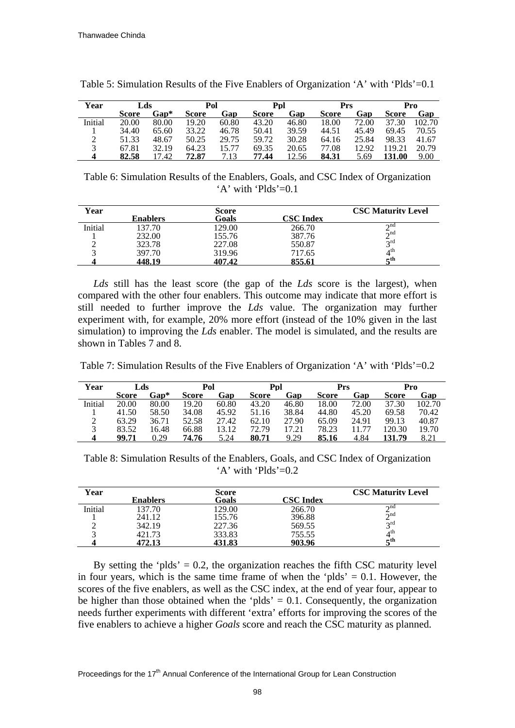| Year    | Lds   |       | Pol   |       | Ppl          |       | Prs          |       |               | Pro    |
|---------|-------|-------|-------|-------|--------------|-------|--------------|-------|---------------|--------|
|         | Score | Gap*  | Score | Gap   | <b>Score</b> | Gap   | <b>Score</b> | Gap   | <b>Score</b>  | Gap    |
| Initial | 20.00 | 80.00 | 19.20 | 60.80 | 43.20        | 46.80 | 18.00        | 72.00 | 37.30         | 102.70 |
|         | 34.40 | 65.60 | 33.22 | 46.78 | 50.41        | 39.59 | 44.51        | 45.49 | 69.45         | 70.55  |
|         | 51.33 | 48.67 | 50.25 | 29.75 | 59.72        | 30.28 | 64.16        | 25.84 | 98.33         | 41.67  |
|         | 67.81 | 32.19 | 64.23 | 15.77 | 69.35        | 20.65 | 77.08        | 12.92 | 119.21        | 20.79  |
|         | 82.58 | 17.42 | 72.87 | 7.13  | 77.44        | 12.56 | 84.31        | 5.69  | <b>131.00</b> | 9.00   |

Table 5: Simulation Results of the Five Enablers of Organization 'A' with 'Plds'=0.1

Table 6: Simulation Results of the Enablers, Goals, and CSC Index of Organization  $'A'$  with 'Plds'=0.1

| Year    |          | Score  |                  | <b>CSC Maturity Level</b> |
|---------|----------|--------|------------------|---------------------------|
|         | Enablers | Goals  | <b>CSC Index</b> |                           |
| Initial | 137.70   | 129.00 | 266.70           | $\sim$ nd                 |
|         | 232.00   | 155.76 | 387.76           | $\lambda$ nd              |
|         | 323.78   | 227.08 | 550.87           | $\gamma$ rd               |
|         | 397.70   | 319.96 | 717.65           | $4^{\text{th}}$           |
|         | 448.19   | 407.42 | 855.61           | =th                       |

*Lds* still has the least score (the gap of the *Lds* score is the largest), when compared with the other four enablers. This outcome may indicate that more effort is still needed to further improve the *Lds* value. The organization may further experiment with, for example, 20% more effort (instead of the 10% given in the last simulation) to improving the *Lds* enabler. The model is simulated, and the results are shown in Tables 7 and 8.

Table 7: Simulation Results of the Five Enablers of Organization 'A' with 'Plds'=0.2

| Year    | Lds          |       | Pol   |       | Ppl   |       | Prs          |       | Pro    |        |
|---------|--------------|-------|-------|-------|-------|-------|--------------|-------|--------|--------|
|         | <b>Score</b> | Gap*  | Score | Gap   | Score | Gap   | <b>Score</b> | Gap   | Score  | Gap    |
| Initial | 20.00        | 80.00 | 19.20 | 60.80 | 43.20 | 46.80 | 18.00        | 72.00 | 37.30  | 102.70 |
|         | 41.50        | 58.50 | 34.08 | 45.92 | 51.16 | 38.84 | 44.80        | 45.20 | 69.58  | 70.42  |
| ∠       | 63.29        | 36.71 | 52.58 | 27.42 | 62.10 | 27.90 | 65.09        | 24.91 | 99.13  | 40.87  |
|         | 83.52        | 16.48 | 66.88 | 13.12 | 72.79 | 17.21 | 78.23        | 11.77 | 120.30 | 19.70  |
|         | 99.71        | 0.29  | 74.76 | 5.24  | 80.71 | 9.29  | 85.16        | 4.84  | 131.79 | 8.21   |

Table 8: Simulation Results of the Enablers, Goals, and CSC Index of Organization  $'A'$  with 'Plds'=0.2

| Year    |                 | Score  |                  | <b>CSC Maturity Level</b> |
|---------|-----------------|--------|------------------|---------------------------|
|         | <b>Enablers</b> | Goals  | <b>CSC</b> Index |                           |
| Initial | 137.70          | 129.00 | 266.70           | $\sim$ nd                 |
|         | 241.12          | 155.76 | 396.88           | $\sim$ nd                 |
|         | 342.19          | 227.36 | 569.55           | $\sigma$ rd               |
|         | 421.73          | 333.83 | 755.55           | $4^{\text{th}}$           |
|         | 472.13          | 431.83 | 903.96           | –th                       |

By setting the 'plds'  $= 0.2$ , the organization reaches the fifth CSC maturity level in four years, which is the same time frame of when the 'plds'  $= 0.1$ . However, the scores of the five enablers, as well as the CSC index, at the end of year four, appear to be higher than those obtained when the 'plds'  $= 0.1$ . Consequently, the organization needs further experiments with different 'extra' efforts for improving the scores of the five enablers to achieve a higher *Goals* score and reach the CSC maturity as planned.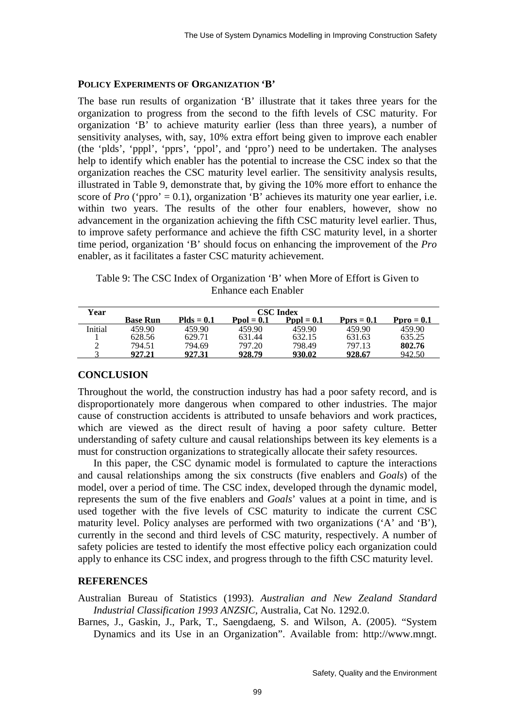#### **POLICY EXPERIMENTS OF ORGANIZATION 'B'**

The base run results of organization 'B' illustrate that it takes three years for the organization to progress from the second to the fifth levels of CSC maturity. For organization 'B' to achieve maturity earlier (less than three years), a number of sensitivity analyses, with, say, 10% extra effort being given to improve each enabler (the 'plds', 'pppl', 'pprs', 'ppol', and 'ppro') need to be undertaken. The analyses help to identify which enabler has the potential to increase the CSC index so that the organization reaches the CSC maturity level earlier. The sensitivity analysis results, illustrated in Table 9, demonstrate that, by giving the 10% more effort to enhance the score of  $Pro$  ('ppro' = 0.1), organization 'B' achieves its maturity one year earlier, i.e. within two years. The results of the other four enablers, however, show no advancement in the organization achieving the fifth CSC maturity level earlier. Thus, to improve safety performance and achieve the fifth CSC maturity level, in a shorter time period, organization 'B' should focus on enhancing the improvement of the *Pro* enabler, as it facilitates a faster CSC maturity achievement.

Table 9: The CSC Index of Organization 'B' when More of Effort is Given to Enhance each Enabler

| Year    | <b>CSC</b> Index |              |              |                     |                      |                      |  |  |  |  |
|---------|------------------|--------------|--------------|---------------------|----------------------|----------------------|--|--|--|--|
|         | <b>Base Run</b>  | $Pids = 0.1$ | $Pool = 0.1$ | $\text{Pvol} = 0.1$ | $\text{Prors} = 0.1$ | $\textbf{Pro} = 0.1$ |  |  |  |  |
| Initial | 459.90           | 459.90       | 459.90       | 459.90              | 459.90               | 459.90               |  |  |  |  |
|         | 628.56           | 629.71       | 631.44       | 632.15              | 631.63               | 635.25               |  |  |  |  |
|         | 794.51           | 794.69       | 797.20       | 798.49              | 797.13               | 802.76               |  |  |  |  |
|         | 927.21           | 927.31       | 928.79       | 930.02              | 928.67               | 942.50               |  |  |  |  |

#### **CONCLUSION**

Throughout the world, the construction industry has had a poor safety record, and is disproportionately more dangerous when compared to other industries. The major cause of construction accidents is attributed to unsafe behaviors and work practices, which are viewed as the direct result of having a poor safety culture. Better understanding of safety culture and causal relationships between its key elements is a must for construction organizations to strategically allocate their safety resources.

In this paper, the CSC dynamic model is formulated to capture the interactions and causal relationships among the six constructs (five enablers and *Goals*) of the model, over a period of time. The CSC index, developed through the dynamic model, represents the sum of the five enablers and *Goals*' values at a point in time, and is used together with the five levels of CSC maturity to indicate the current CSC maturity level. Policy analyses are performed with two organizations ('A' and 'B'), currently in the second and third levels of CSC maturity, respectively. A number of safety policies are tested to identify the most effective policy each organization could apply to enhance its CSC index, and progress through to the fifth CSC maturity level.

#### **REFERENCES**

Australian Bureau of Statistics (1993). *Australian and New Zealand Standard Industrial Classification 1993 ANZSIC*, Australia, Cat No. 1292.0.

Barnes, J., Gaskin, J., Park, T., Saengdaeng, S. and Wilson, A. (2005). "System Dynamics and its Use in an Organization". Available from: [http://www.mngt.](http://www.mngt.%20waikato.ac.nz/depts/mnss/courses/511/Ass1pdf/99Gp1.pdf)